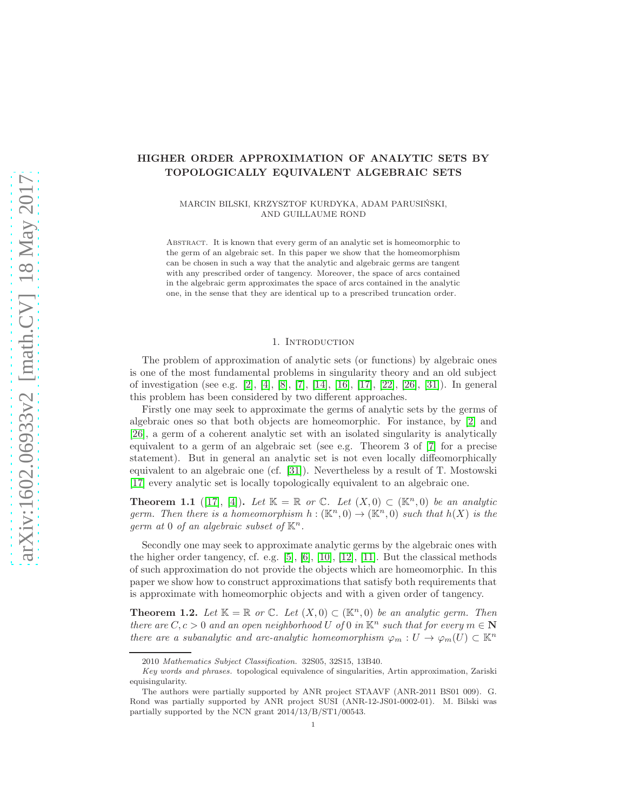# HIGHER ORDER APPROXIMATION OF ANALYTIC SETS BY TOPOLOGICALLY EQUIVALENT ALGEBRAIC SETS

MARCIN BILSKI, KRZYSZTOF KURDYKA, ADAM PARUSINSKI, ´ AND GUILLAUME ROND

Abstract. It is known that every germ of an analytic set is homeomorphic to the germ of an algebraic set. In this paper we show that the homeomorphism can be chosen in such a way that the analytic and algebraic germs are tangent with any prescribed order of tangency. Moreover, the space of arcs contained in the algebraic germ approximates the space of arcs contained in the analytic one, in the sense that they are identical up to a prescribed truncation order.

## 1. INTRODUCTION

The problem of approximation of analytic sets (or functions) by algebraic ones is one of the most fundamental problems in singularity theory and an old subject of investigation (see e.g. [\[2\]](#page-13-0), [\[4\]](#page-13-1), [\[8\]](#page-13-2), [\[7\]](#page-13-3), [\[14\]](#page-13-4), [\[16\]](#page-13-5), [\[17\]](#page-13-6), [\[22\]](#page-13-7), [\[26\]](#page-13-8), [\[31\]](#page-14-0)). In general this problem has been considered by two different approaches.

Firstly one may seek to approximate the germs of analytic sets by the germs of algebraic ones so that both objects are homeomorphic. For instance, by [\[2\]](#page-13-0) and [\[26\]](#page-13-8), a germ of a coherent analytic set with an isolated singularity is analytically equivalent to a germ of an algebraic set (see e.g. Theorem 3 of [\[7\]](#page-13-3) for a precise statement). But in general an analytic set is not even locally diffeomorphically equivalent to an algebraic one (cf. [\[31\]](#page-14-0)). Nevertheless by a result of T. Mostowski [\[17\]](#page-13-6) every analytic set is locally topologically equivalent to an algebraic one.

**Theorem 1.1** ([\[17\]](#page-13-6), [\[4\]](#page-13-1)). Let  $\mathbb{K} = \mathbb{R}$  or  $\mathbb{C}$ . Let  $(X,0) \subset (\mathbb{K}^n,0)$  be an analytic germ. Then there is a homeomorphism  $h : (\mathbb{K}^n, 0) \to (\mathbb{K}^n, 0)$  such that  $h(X)$  is the germ at 0 of an algebraic subset of  $\mathbb{K}^n$ .

Secondly one may seek to approximate analytic germs by the algebraic ones with the higher order tangency, cf. e.g. [\[5\]](#page-13-9), [\[6\]](#page-13-10), [\[10\]](#page-13-11), [\[12\]](#page-13-12), [\[11\]](#page-13-13). But the classical methods of such approximation do not provide the objects which are homeomorphic. In this paper we show how to construct approximations that satisfy both requirements that is approximate with homeomorphic objects and with a given order of tangency.

<span id="page-0-0"></span>**Theorem 1.2.** Let  $\mathbb{K} = \mathbb{R}$  or  $\mathbb{C}$ . Let  $(X, 0) \subset (\mathbb{K}^n, 0)$  be an analytic germ. Then there are  $C, c > 0$  and an open neighborhood U of 0 in  $\mathbb{K}^n$  such that for every  $m \in \mathbb{N}$ there are a subanalytic and arc-analytic homeomorphism  $\varphi_m: U \to \varphi_m(U) \subset \mathbb{K}^n$ 

<sup>2010</sup> Mathematics Subject Classification. 32S05, 32S15, 13B40.

Key words and phrases. topological equivalence of singularities, Artin approximation, Zariski equisingularity.

The authors were partially supported by ANR project STAAVF (ANR-2011 BS01 009). G. Rond was partially supported by ANR project SUSI (ANR-12-JS01-0002-01). M. Bilski was partially supported by the NCN grant 2014/13/B/ST1/00543.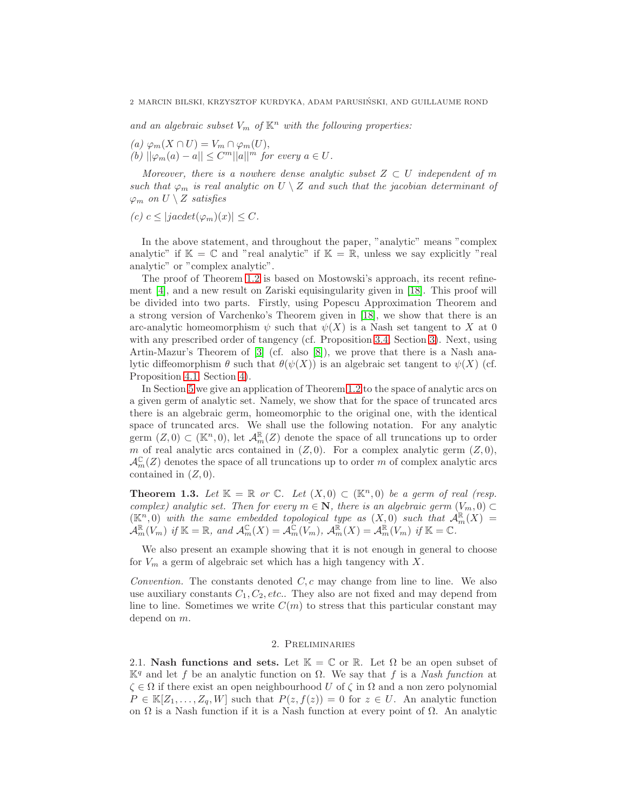and an algebraic subset  $V_m$  of  $\mathbb{K}^n$  with the following properties:

- (a)  $\varphi_m(X \cap U) = V_m \cap \varphi_m(U)$ ,
- (b)  $||\varphi_m(a) a|| \leq C^m ||a||^m$  for every  $a \in U$ .

Moreover, there is a nowhere dense analytic subset  $Z \subset U$  independent of m such that  $\varphi_m$  is real analytic on  $U \setminus Z$  and such that the jacobian determinant of  $\varphi_m$  on  $U \setminus Z$  satisfies

(c)  $c \le |jacdet(\varphi_m)(x)| \le C$ .

In the above statement, and throughout the paper, "analytic" means "complex analytic" if  $\mathbb{K} = \mathbb{C}$  and "real analytic" if  $\mathbb{K} = \mathbb{R}$ , unless we say explicitly "real analytic" or "complex analytic".

The proof of Theorem [1.2](#page-0-0) is based on Mostowski's approach, its recent refinement [\[4\]](#page-13-1), and a new result on Zariski equisingularity given in [\[18\]](#page-13-14). This proof will be divided into two parts. Firstly, using Popescu Approximation Theorem and a strong version of Varchenko's Theorem given in [\[18\]](#page-13-14), we show that there is an arc-analytic homeomorphism  $\psi$  such that  $\psi(X)$  is a Nash set tangent to X at 0 with any prescribed order of tangency (cf. Proposition [3.4,](#page-8-0) Section [3\)](#page-4-0). Next, using Artin-Mazur's Theorem of [\[3\]](#page-13-15) (cf. also [\[8\]](#page-13-2)), we prove that there is a Nash analytic diffeomorphism  $\theta$  such that  $\theta(\psi(X))$  is an algebraic set tangent to  $\psi(X)$  (cf. Proposition [4.1,](#page-9-0) Section [4\)](#page-9-1).

In Section [5](#page-11-0) we give an application of Theorem [1.2](#page-0-0) to the space of analytic arcs on a given germ of analytic set. Namely, we show that for the space of truncated arcs there is an algebraic germ, homeomorphic to the original one, with the identical space of truncated arcs. We shall use the following notation. For any analytic germ  $(Z, 0) \subset (\mathbb{K}^n, 0)$ , let  $\mathcal{A}_m^{\mathbb{R}}(Z)$  denote the space of all truncations up to order m of real analytic arcs contained in  $(Z, 0)$ . For a complex analytic germ  $(Z, 0)$ ,  $\mathcal{A}_{m}^{\mathbb{C}}(Z)$  denotes the space of all truncations up to order m of complex analytic arcs contained in  $(Z, 0)$ .

<span id="page-1-0"></span>**Theorem 1.3.** Let  $\mathbb{K} = \mathbb{R}$  or  $\mathbb{C}$ . Let  $(X, 0) \subset (\mathbb{K}^n, 0)$  be a germ of real (resp. complex) analytic set. Then for every  $m \in \mathbb{N}$ , there is an algebraic germ  $(V_m, 0) \subset$  $(\mathbb{K}^n,0)$  with the same embedded topological type as  $(X,0)$  such that  $\mathcal{A}_m^{\mathbb{R}}(X)$  =  $\mathcal{A}_m^{\mathbb{R}}(V_m)$  if  $\mathbb{K} = \mathbb{R}$ , and  $\mathcal{A}_m^{\mathbb{C}}(X) = \mathcal{A}_m^{\mathbb{C}}(V_m)$ ,  $\mathcal{A}_m^{\mathbb{R}}(X) = \mathcal{A}_m^{\mathbb{R}}(V_m)$  if  $\mathbb{K} = \mathbb{C}$ .

We also present an example showing that it is not enough in general to choose for  $V_m$  a germ of algebraic set which has a high tangency with  $X$ .

Convention. The constants denoted  $C, c$  may change from line to line. We also use auxiliary constants  $C_1, C_2, etc.$ . They also are not fixed and may depend from line to line. Sometimes we write  $C(m)$  to stress that this particular constant may depend on m.

#### 2. Preliminaries

2.1. Nash functions and sets. Let  $\mathbb{K} = \mathbb{C}$  or  $\mathbb{R}$ . Let  $\Omega$  be an open subset of  $\mathbb{K}^q$  and let f be an analytic function on Ω. We say that f is a Nash function at  $\zeta \in \Omega$  if there exist an open neighbourhood U of  $\zeta$  in  $\Omega$  and a non zero polynomial  $P \in \mathbb{K}[Z_1,\ldots,Z_q,W]$  such that  $P(z, f(z)) = 0$  for  $z \in U$ . An analytic function on  $\Omega$  is a Nash function if it is a Nash function at every point of  $\Omega$ . An analytic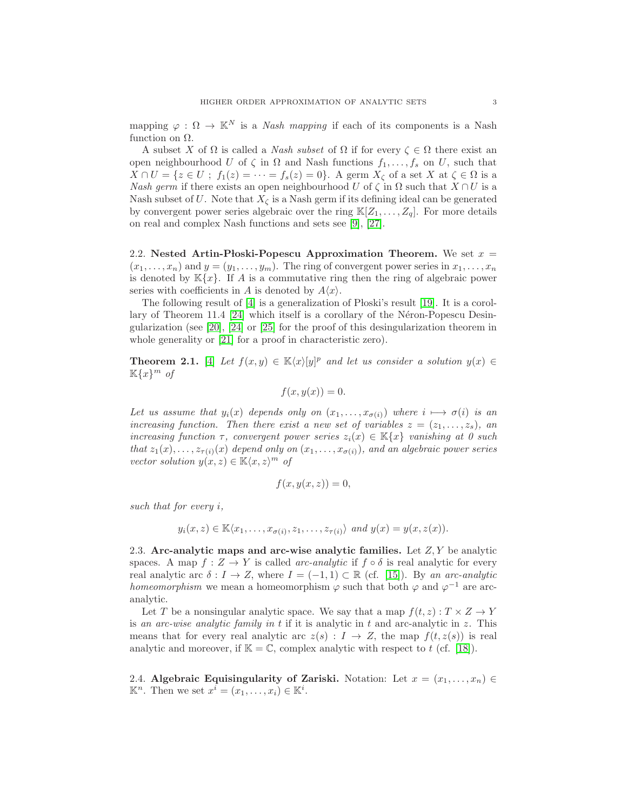mapping  $\varphi : \Omega \to \mathbb{K}^N$  is a *Nash mapping* if each of its components is a Nash function on  $Ω$ .

A subset X of  $\Omega$  is called a *Nash subset* of  $\Omega$  if for every  $\zeta \in \Omega$  there exist an open neighbourhood U of  $\zeta$  in  $\Omega$  and Nash functions  $f_1, \ldots, f_s$  on U, such that  $X \cap U = \{z \in U; f_1(z) = \cdots = f_s(z) = 0\}.$  A germ  $X_\zeta$  of a set X at  $\zeta \in \Omega$  is a Nash germ if there exists an open neighbourhood U of  $\zeta$  in  $\Omega$  such that  $X \cap U$  is a Nash subset of U. Note that  $X_{\zeta}$  is a Nash germ if its defining ideal can be generated by convergent power series algebraic over the ring  $\mathbb{K}[Z_1, \ldots, Z_q]$ . For more details on real and complex Nash functions and sets see [\[9\]](#page-13-16), [\[27\]](#page-13-17).

2.2. Nested Artin-Ploski-Popescu Approximation Theorem. We set  $x =$  $(x_1, \ldots, x_n)$  and  $y = (y_1, \ldots, y_m)$ . The ring of convergent power series in  $x_1, \ldots, x_n$ is denoted by  $\mathbb{K}\{x\}$ . If A is a commutative ring then the ring of algebraic power series with coefficients in A is denoted by  $A\langle x\rangle$ .

The following result of  $[4]$  is a generalization of Ploski's result  $[19]$ . It is a corollary of Theorem 11.4  $|24|$  which itself is a corollary of the Néron-Popescu Desingularization (see [\[20\]](#page-13-20), [\[24\]](#page-13-19) or [\[25\]](#page-13-21) for the proof of this desingularization theorem in whole generality or [\[21\]](#page-13-22) for a proof in characteristic zero).

<span id="page-2-0"></span>**Theorem 2.1.** [\[4\]](#page-13-1) Let  $f(x,y) \in K\langle x \rangle[y]^p$  and let us consider a solution  $y(x) \in K\langle x \rangle$  $\mathbb{K}\{x\}^m$  of

$$
f(x, y(x)) = 0.
$$

Let us assume that  $y_i(x)$  depends only on  $(x_1, \ldots, x_{\sigma(i)})$  where  $i \mapsto \sigma(i)$  is an increasing function. Then there exist a new set of variables  $z = (z_1, \ldots, z_s)$ , an increasing function  $\tau$ , convergent power series  $z_i(x) \in \mathbb{K}\{x\}$  vanishing at 0 such that  $z_1(x), \ldots, z_{\tau(i)}(x)$  depend only on  $(x_1, \ldots, x_{\sigma(i)})$ , and an algebraic power series vector solution  $y(x, z) \in \mathbb{K}\langle x, z \rangle^m$  of

$$
f(x, y(x, z)) = 0,
$$

such that for every i,

$$
y_i(x, z) \in \mathbb{K}\langle x_1, \ldots, x_{\sigma(i)}, z_1, \ldots, z_{\tau(i)}\rangle
$$
 and  $y(x) = y(x, z(x)).$ 

2.3. Arc-analytic maps and arc-wise analytic families. Let  $Z, Y$  be analytic spaces. A map  $f: Z \to Y$  is called arc-analytic if  $f \circ \delta$  is real analytic for every real analytic arc  $\delta : I \to Z$ , where  $I = (-1, 1) \subset \mathbb{R}$  (cf. [\[15\]](#page-13-23)). By an arc-analytic homeomorphism we mean a homeomorphism  $\varphi$  such that both  $\varphi$  and  $\varphi^{-1}$  are arcanalytic.

Let T be a nonsingular analytic space. We say that a map  $f(t, z) : T \times Z \to Y$ is an arc-wise analytic family in  $t$  if it is analytic in  $t$  and arc-analytic in  $z$ . This means that for every real analytic arc  $z(s) : I \to Z$ , the map  $f(t, z(s))$  is real analytic and moreover, if  $\mathbb{K} = \mathbb{C}$ , complex analytic with respect to t (cf. [\[18\]](#page-13-14)).

2.4. Algebraic Equisingularity of Zariski. Notation: Let  $x = (x_1, \ldots, x_n) \in$  $\mathbb{K}^n$ . Then we set  $x^i = (x_1, \ldots, x_i) \in \mathbb{K}^i$ .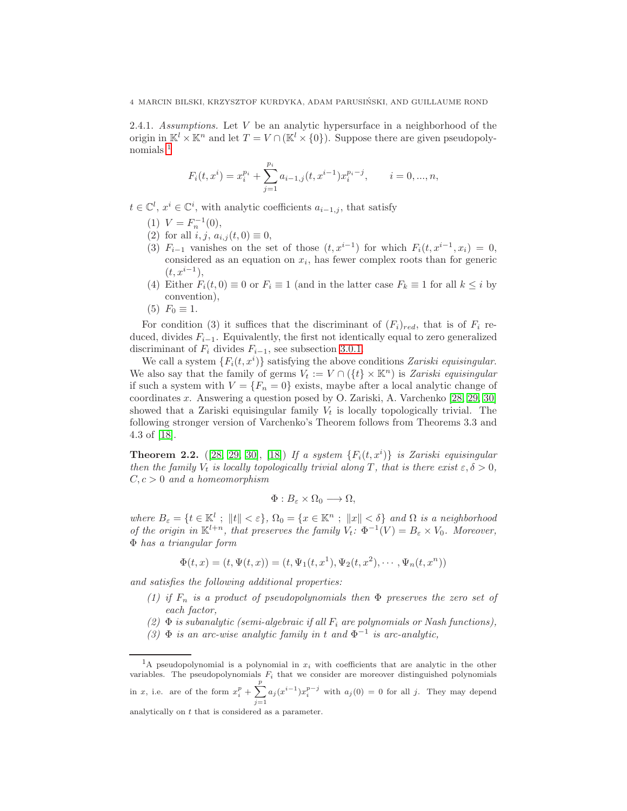2.4.1. Assumptions. Let  $V$  be an analytic hypersurface in a neighborhood of the origin in  $\mathbb{K}^l \times \mathbb{K}^n$  and let  $T = V \cap (\mathbb{K}^l \times \{0\})$ . Suppose there are given pseudopolynomials [1](#page-3-0)

$$
F_i(t, x^i) = x_i^{p_i} + \sum_{j=1}^{p_i} a_{i-1,j}(t, x^{i-1}) x_i^{p_i - j}, \qquad i = 0, ..., n,
$$

 $t \in \mathbb{C}^l$ ,  $x^i \in \mathbb{C}^i$ , with analytic coefficients  $a_{i-1,j}$ , that satisfy

- (1)  $V = F_n^{-1}(0)$ ,
- (2) for all  $i, j, a_{i,j}(t, 0) \equiv 0$ ,
- (3)  $F_{i-1}$  vanishes on the set of those  $(t, x^{i-1})$  for which  $F_i(t, x^{i-1}, x_i) = 0$ , considered as an equation on  $x_i$ , has fewer complex roots than for generic  $(t, x^{i-1}),$
- (4) Either  $F_i(t, 0) \equiv 0$  or  $F_i \equiv 1$  (and in the latter case  $F_k \equiv 1$  for all  $k \leq i$  by convention),
- (5)  $F_0 \equiv 1$ .

For condition (3) it suffices that the discriminant of  $(F_i)_{red}$ , that is of  $F_i$  reduced, divides  $F_{i-1}$ . Equivalently, the first not identically equal to zero generalized discriminant of  $F_i$  divides  $F_{i-1}$ , see subsection [3.0.1.](#page-4-1)

We call a system  $\{F_i(t, x^i)\}$  satisfying the above conditions Zariski equisingular. We also say that the family of germs  $V_t := V \cap (\{t\} \times \mathbb{K}^n)$  is Zariski equisingular if such a system with  $V = \{F_n = 0\}$  exists, maybe after a local analytic change of coordinates x. Answering a question posed by O. Zariski, A. Varchenko [\[28,](#page-13-24) [29,](#page-13-25) [30\]](#page-13-26) showed that a Zariski equisingular family  $V_t$  is locally topologically trivial. The following stronger version of Varchenko's Theorem follows from Theorems 3.3 and 4.3 of [\[18\]](#page-13-14).

<span id="page-3-1"></span>**Theorem 2.2.** ([\[28,](#page-13-24) [29,](#page-13-25) [30\]](#page-13-26), [\[18\]](#page-13-14)) If a system  $\{F_i(t, x^i)\}\$ is Zariski equisingular then the family  $V_t$  is locally topologically trivial along T, that is there exist  $\varepsilon, \delta > 0$ ,  $C, c > 0$  and a homeomorphism

$$
\Phi:B_{\varepsilon}\times\Omega_0\longrightarrow\Omega,
$$

where  $B_{\varepsilon} = \{t \in \mathbb{K}^l : ||t|| < \varepsilon\}, \Omega_0 = \{x \in \mathbb{K}^n : ||x|| < \delta\}$  and  $\Omega$  is a neighborhood of the origin in  $\mathbb{K}^{l+n}$ , that preserves the family  $V_t$ :  $\Phi^{-1}(V) = B_{\varepsilon} \times V_0$ . Moreover, Φ has a triangular form

$$
\Phi(t, x) = (t, \Psi(t, x)) = (t, \Psi_1(t, x^1), \Psi_2(t, x^2), \cdots, \Psi_n(t, x^n))
$$

and satisfies the following additional properties:

- (1) if  $F_n$  is a product of pseudopolynomials then  $\Phi$  preserves the zero set of each factor,
- (2)  $\Phi$  is subanalytic (semi-algebraic if all  $F_i$  are polynomials or Nash functions).
- (3)  $\Phi$  is an arc-wise analytic family in t and  $\Phi^{-1}$  is arc-analytic,

<span id="page-3-0"></span><sup>&</sup>lt;sup>1</sup>A pseudopolynomial is a polynomial in  $x_i$  with coefficients that are analytic in the other variables. The pseudopolynomials  $F_i$  that we consider are moreover distinguished polynomials in x, i.e. are of the form  $x_i^p + \sum^p$  $\overline{j=1}$  $a_j(x^{i-1})x_i^{p-j}$  with  $a_j(0) = 0$  for all j. They may depend analytically on t that is considered as a parameter.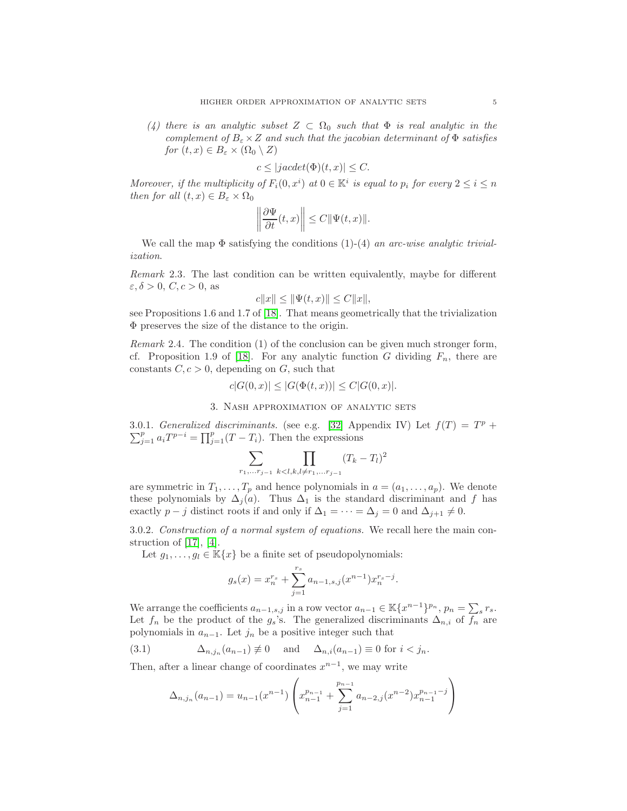(4) there is an analytic subset  $Z \subset \Omega_0$  such that  $\Phi$  is real analytic in the complement of  $B_\varepsilon \times Z$  and such that the jacobian determinant of  $\Phi$  satisfies for  $(t, x) \in B_{\varepsilon} \times (\Omega_0 \setminus Z)$ 

$$
c \le |jacdet(\Phi)(t, x)| \le C.
$$

Moreover, if the multiplicity of  $F_i(0, x^i)$  at  $0 \in \mathbb{K}^i$  is equal to  $p_i$  for every  $2 \leq i \leq n$ then for all  $(t, x) \in B_{\varepsilon} \times \Omega_0$ 

$$
\left\|\frac{\partial \Psi}{\partial t}(t,x)\right\| \le C \|\Psi(t,x)\|.
$$

We call the map  $\Phi$  satisfying the conditions (1)-(4) an arc-wise analytic trivialization.

Remark 2.3. The last condition can be written equivalently, maybe for different  $\varepsilon, \delta > 0$ ,  $C, c > 0$ , as

$$
c||x|| \le ||\Psi(t, x)|| \le C||x||,
$$

see Propositions 1.6 and 1.7 of [\[18\]](#page-13-14). That means geometrically that the trivialization Φ preserves the size of the distance to the origin.

Remark 2.4. The condition (1) of the conclusion can be given much stronger form, cf. Proposition 1.9 of [\[18\]](#page-13-14). For any analytic function G dividing  $F_n$ , there are constants  $C, c > 0$ , depending on G, such that

$$
c|G(0,x)| \le |G(\Phi(t,x))| \le C|G(0,x)|.
$$

3. Nash approximation of analytic sets

<span id="page-4-1"></span><span id="page-4-0"></span>3.0.1. Generalized discriminants. (see e.g. [\[32\]](#page-14-1) Appendix IV) Let  $f(T) = T^p +$  $\sum_{j=1}^p a_i T^{p-i} = \prod_{j=1}^p (T - T_i)$ . Then the expressions

$$
\sum_{r_1, \dots r_{j-1}} \prod_{k < l, k, l \neq r_1, \dots r_{j-1}} (T_k - T_l)^2
$$

are symmetric in  $T_1, \ldots, T_p$  and hence polynomials in  $a = (a_1, \ldots, a_p)$ . We denote these polynomials by  $\Delta_i(a)$ . Thus  $\Delta_1$  is the standard discriminant and f has exactly  $p - j$  distinct roots if and only if  $\Delta_1 = \cdots = \Delta_j = 0$  and  $\Delta_{j+1} \neq 0$ .

3.0.2. Construction of a normal system of equations. We recall here the main construction of [\[17\]](#page-13-6), [\[4\]](#page-13-1).

Let  $g_1, \ldots, g_l \in \mathbb{K}\lbrace x \rbrace$  be a finite set of pseudopolynomials:

$$
g_s(x) = x_n^{r_s} + \sum_{j=1}^{r_s} a_{n-1,s,j}(x^{n-1}) x_n^{r_s - j}.
$$

We arrange the coefficients  $a_{n-1,s,j}$  in a row vector  $a_{n-1} \in \mathbb{K} \{x^{n-1}\}^{p_n}$ ,  $p_n = \sum_s r_s$ . Let  $f_n$  be the product of the  $g_s$ 's. The generalized discriminants  $\Delta_{n,i}$  of  $f_n$  are polynomials in  $a_{n-1}$ . Let  $j_n$  be a positive integer such that

(3.1) 
$$
\Delta_{n,j_n}(a_{n-1}) \neq 0 \quad \text{and} \quad \Delta_{n,i}(a_{n-1}) \equiv 0 \text{ for } i < j_n.
$$

Then, after a linear change of coordinates  $x^{n-1}$ , we may write

$$
\Delta_{n,j_n}(a_{n-1}) = u_{n-1}(x^{n-1}) \left( x_{n-1}^{p_{n-1}} + \sum_{j=1}^{p_{n-1}} a_{n-2,j}(x^{n-2}) x_{n-1}^{p_{n-1}-j} \right)
$$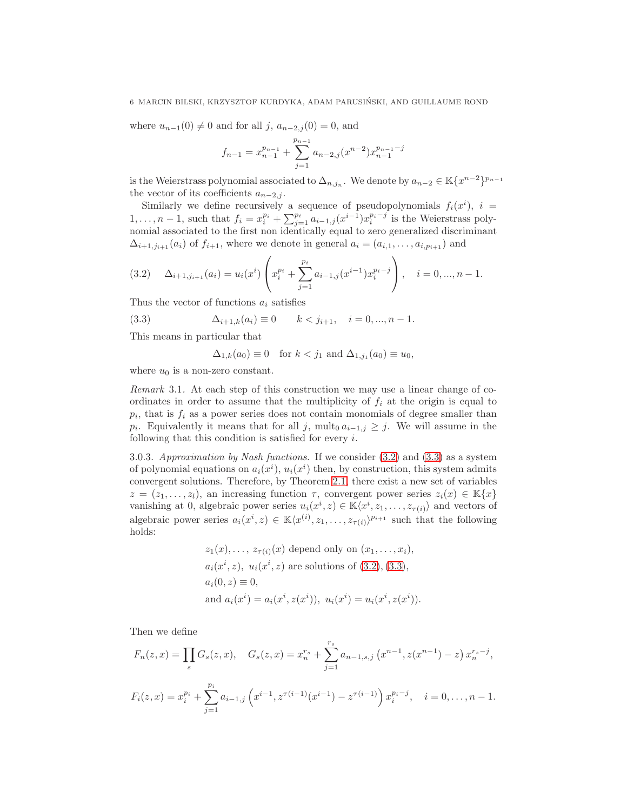where  $u_{n-1}(0) \neq 0$  and for all j,  $a_{n-2,j}(0) = 0$ , and

$$
f_{n-1} = x_{n-1}^{p_{n-1}} + \sum_{j=1}^{p_{n-1}} a_{n-2,j} (x^{n-2}) x_{n-1}^{p_{n-1}-j}
$$

is the Weierstrass polynomial associated to  $\Delta_{n,j_n}$ . We denote by  $a_{n-2} \in \mathbb{K}\lbrace x^{n-2} \rbrace^{p_{n-1}}$ the vector of its coefficients  $a_{n-2,j}$ .

Similarly we define recursively a sequence of pseudopolynomials  $f_i(x^i)$ ,  $i =$  $1, \ldots, n-1$ , such that  $f_i = x_i^{p_i} + \sum_{j=1}^{p_i} a_{i-1,j} (x^{i-1}) x_i^{p_i-j}$  is the Weierstrass polynomial associated to the first non identically equal to zero generalized discriminant  $\Delta_{i+1,j_{i+1}}(a_i)$  of  $f_{i+1}$ , where we denote in general  $a_i = (a_{i,1},\ldots,a_{i,p_{i+1}})$  and

<span id="page-5-0"></span>
$$
(3.2) \quad \Delta_{i+1,j_{i+1}}(a_i) = u_i(x^i) \left( x_i^{p_i} + \sum_{j=1}^{p_i} a_{i-1,j}(x^{i-1}) x_i^{p_i - j} \right), \quad i = 0, ..., n-1.
$$

Thus the vector of functions  $a_i$  satisfies

<span id="page-5-1"></span>(3.3) 
$$
\Delta_{i+1,k}(a_i) \equiv 0 \qquad k < j_{i+1}, \quad i = 0, ..., n-1.
$$

This means in particular that

 $\Delta_{1,k}(a_0) \equiv 0$  for  $k < j_1$  and  $\Delta_{1,j_1}(a_0) \equiv u_0$ ,

where  $u_0$  is a non-zero constant.

Remark 3.1. At each step of this construction we may use a linear change of coordinates in order to assume that the multiplicity of  $f_i$  at the origin is equal to  $p_i$ , that is  $f_i$  as a power series does not contain monomials of degree smaller than  $p_i$ . Equivalently it means that for all j, mult<sub>0</sub>  $a_{i-1,j} \geq j$ . We will assume in the following that this condition is satisfied for every  $i$ .

3.0.3. Approximation by Nash functions. If we consider [\(3.2\)](#page-5-0) and [\(3.3\)](#page-5-1) as a system of polynomial equations on  $a_i(x^i)$ ,  $u_i(x^i)$  then, by construction, this system admits convergent solutions. Therefore, by Theorem [2.1,](#page-2-0) there exist a new set of variables  $z = (z_1, \ldots, z_l)$ , an increasing function  $\tau$ , convergent power series  $z_i(x) \in \mathbb{K}{x}$ vanishing at 0, algebraic power series  $u_i(x^i, z) \in \mathbb{K}\langle x^i, z_1, \ldots, z_{\tau(i)}\rangle$  and vectors of algebraic power series  $a_i(x^i, z) \in \mathbb{K}\langle x^{(i)}, z_1, \ldots, z_{\tau(i)}\rangle^{p_{i+1}}$  such that the following holds:

$$
z_1(x),..., z_{\tau(i)}(x)
$$
 depend only on  $(x_1,...,x_i)$ ,  
\n $a_i(x^i, z), u_i(x^i, z)$  are solutions of (3.2), (3.3),  
\n $a_i(0, z) \equiv 0$ ,  
\nand  $a_i(x^i) = a_i(x^i, z(x^i))$ ,  $u_i(x^i) = u_i(x^i, z(x^i))$ .

Then we define

$$
F_n(z, x) = \prod_s G_s(z, x), \quad G_s(z, x) = x_n^{r_s} + \sum_{j=1}^{r_s} a_{n-1, s, j} (x^{n-1}, z(x^{n-1}) - z) x_n^{r_s - j},
$$
  

$$
F_i(z, x) = x_i^{p_i} + \sum_{j=1}^{p_i} a_{i-1, j} (x^{i-1}, z^{\tau(i-1)}(x^{i-1}) - z^{\tau(i-1)}) x_i^{p_i - j}, \quad i = 0, ..., n-1.
$$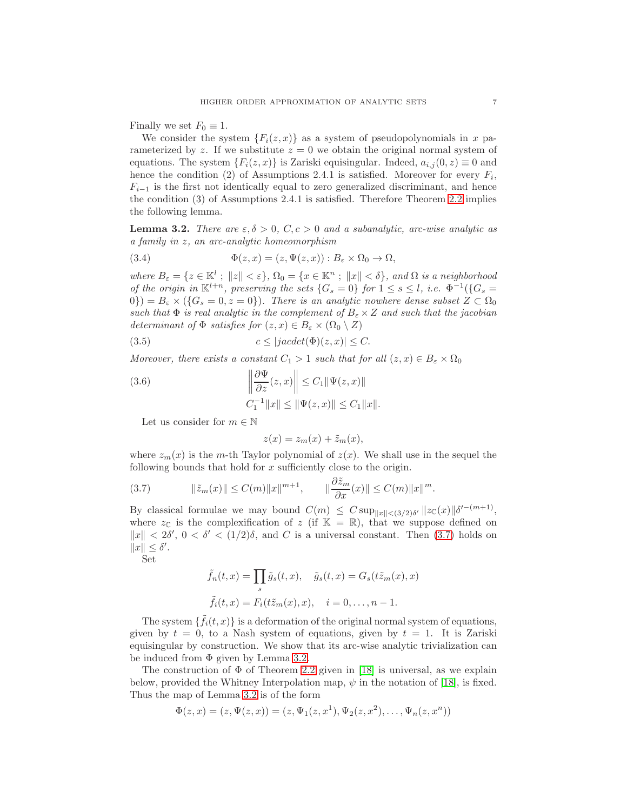Finally we set  $F_0 \equiv 1$ .

We consider the system  ${F_i(z, x)}$  as a system of pseudopolynomials in x parameterized by z. If we substitute  $z = 0$  we obtain the original normal system of equations. The system  $\{F_i(z, x)\}\$ is Zariski equisingular. Indeed,  $a_{i,j}(0, z) \equiv 0$  and hence the condition (2) of Assumptions 2.4.1 is satisfied. Moreover for every  $F_i$ ,  $F_{i-1}$  is the first not identically equal to zero generalized discriminant, and hence the condition (3) of Assumptions 2.4.1 is satisfied. Therefore Theorem [2.2](#page-3-1) implies the following lemma.

<span id="page-6-1"></span>**Lemma 3.2.** There are  $\varepsilon, \delta > 0$ ,  $C, c > 0$  and a subanalytic, arc-wise analytic as a family in z, an arc-analytic homeomorphism

(3.4) 
$$
\Phi(z,x) = (z,\Psi(z,x)) : B_{\varepsilon} \times \Omega_0 \to \Omega,
$$

where  $B_{\varepsilon} = \{z \in \mathbb{K}^l : ||z|| < \varepsilon\}, \Omega_0 = \{x \in \mathbb{K}^n : ||x|| < \delta\}, \text{ and } \Omega \text{ is a neighborhood}$ of the origin in  $\mathbb{K}^{l+n}$ , preserving the sets  $\{G_s = 0\}$  for  $1 \leq s \leq l$ , i.e.  $\Phi^{-1}(\{G_s = 0\})$  $(0)$ ) =  $B_{\varepsilon} \times (\{G_s = 0, z = 0\})$ . There is an analytic nowhere dense subset  $Z \subset \Omega_0$ such that  $\Phi$  is real analytic in the complement of  $B_{\varepsilon} \times Z$  and such that the jacobian determinant of  $\Phi$  satisfies for  $(z, x) \in B_{\varepsilon} \times (\Omega_0 \setminus Z)$ 

<span id="page-6-3"></span>(3.5) 
$$
c \le |jacdet(\Phi)(z, x)| \le C.
$$

Moreover, there exists a constant  $C_1 > 1$  such that for all  $(z, x) \in B_\varepsilon \times \Omega_0$ 

<span id="page-6-2"></span>(3.6) 
$$
\left\| \frac{\partial \Psi}{\partial z}(z, x) \right\| \leq C_1 \|\Psi(z, x)\| C_1^{-1} \|x\| \leq \|\Psi(z, x)\| \leq C_1 \|x\|.
$$

Let us consider for  $m \in \mathbb{N}$ 

$$
z(x) = z_m(x) + \tilde{z}_m(x),
$$

where  $z_m(x)$  is the m-th Taylor polynomial of  $z(x)$ . We shall use in the sequel the following bounds that hold for  $x$  sufficiently close to the origin.

<span id="page-6-0"></span>(3.7) 
$$
\|\tilde{z}_m(x)\| \le C(m) \|x\|^{m+1}, \qquad \|\frac{\partial \tilde{z}_m}{\partial x}(x)\| \le C(m) \|x\|^m.
$$

By classical formulae we may bound  $C(m) \leq C \sup_{\|x\| < (3/2)\delta'} \|z_{\mathbb{C}}(x)\| \delta'^{-(m+1)},$ where  $z_{\mathbb{C}}$  is the complexification of z (if  $\mathbb{K} = \mathbb{R}$ ), that we suppose defined on  $||x|| < 2\delta'$ ,  $0 < \delta' < (1/2)\delta$ , and C is a universal constant. Then [\(3.7\)](#page-6-0) holds on  $||x|| \leq \delta'.$ 

Set

$$
\tilde{f}_n(t,x) = \prod_s \tilde{g}_s(t,x), \quad \tilde{g}_s(t,x) = G_s(t\tilde{z}_m(x),x)
$$

$$
\tilde{f}_i(t,x) = F_i(t\tilde{z}_m(x),x), \quad i = 0,\dots, n-1.
$$

The system  $\{\tilde{f}_i(t,x)\}\$ is a deformation of the original normal system of equations, given by  $t = 0$ , to a Nash system of equations, given by  $t = 1$ . It is Zariski equisingular by construction. We show that its arc-wise analytic trivialization can be induced from  $\Phi$  given by Lemma [3.2.](#page-6-1)

The construction of  $\Phi$  of Theorem [2.2](#page-3-1) given in [\[18\]](#page-13-14) is universal, as we explain below, provided the Whitney Interpolation map,  $\psi$  in the notation of [\[18\]](#page-13-14), is fixed. Thus the map of Lemma [3.2](#page-6-1) is of the form

$$
\Phi(z, x) = (z, \Psi(z, x)) = (z, \Psi_1(z, x^1), \Psi_2(z, x^2), \dots, \Psi_n(z, x^n))
$$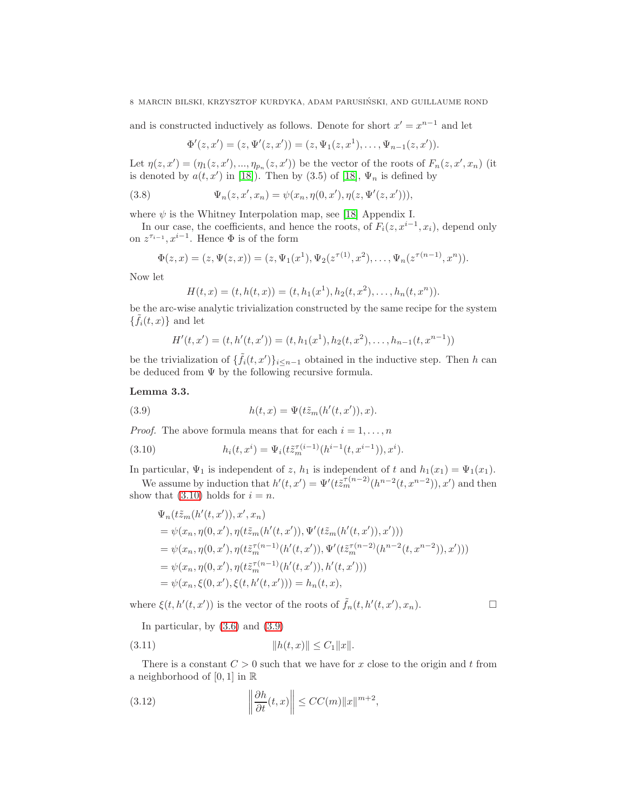and is constructed inductively as follows. Denote for short  $x' = x^{n-1}$  and let

$$
\Phi'(z,x')=(z,\Psi'(z,x'))=(z,\Psi_1(z,x^1),\ldots,\Psi_{n-1}(z,x')).
$$

Let  $\eta(z, x') = (\eta_1(z, x'), ..., \eta_{p_n}(z, x'))$  be the vector of the roots of  $F_n(z, x', x_n)$  (it is denoted by  $a(t, x')$  in [\[18\]](#page-13-14)). Then by (3.5) of [18],  $\Psi_n$  is defined by

(3.8) 
$$
\Psi_n(z, x', x_n) = \psi(x_n, \eta(0, x'), \eta(z, \Psi'(z, x'))),
$$

where  $\psi$  is the Whitney Interpolation map, see [\[18\]](#page-13-14) Appendix I.

In our case, the coefficients, and hence the roots, of  $F_i(z, x^{i-1}, x_i)$ , depend only on  $z^{\tau_{i-1}}$ ,  $x^{i-1}$ . Hence  $\Phi$  is of the form

$$
\Phi(z,x)=(z,\Psi(z,x))=(z,\Psi_1(x^1),\Psi_2(z^{\tau(1)},x^2),\ldots,\Psi_n(z^{\tau(n-1)},x^n)).
$$

Now let

$$
H(t,x) = (t, h(t,x)) = (t, h_1(x^1), h_2(t,x^2), \dots, h_n(t,x^n)).
$$

be the arc-wise analytic trivialization constructed by the same recipe for the system  $\{\tilde{f}_i(t,x)\}\)$  and let

$$
H'(t, x') = (t, h'(t, x')) = (t, h_1(x1), h_2(t, x2), \dots, h_{n-1}(t, x^{n-1}))
$$

be the trivialization of  $\{\tilde{f}_i(t,x')\}_{i\leq n-1}$  obtained in the inductive step. Then h can be deduced from  $\Psi$  by the following recursive formula.

### <span id="page-7-3"></span>Lemma 3.3.

<span id="page-7-1"></span>(3.9) 
$$
h(t,x) = \Psi(t\tilde{z}_m(h'(t,x')),x).
$$

*Proof.* The above formula means that for each  $i = 1, \ldots, n$ 

<span id="page-7-0"></span>(3.10) 
$$
h_i(t, x^i) = \Psi_i(t \tilde{z}_m^{\tau(i-1)}(h^{i-1}(t, x^{i-1})), x^i).
$$

In particular,  $\Psi_1$  is independent of z,  $h_1$  is independent of t and  $h_1(x_1) = \Psi_1(x_1)$ .

We assume by induction that  $h'(t, x') = \Psi'(t \tilde{z}_m^{\tau(n-2)}(h^{n-2}(t, x^{n-2})), x')$  and then show that [\(3.10\)](#page-7-0) holds for  $i = n$ .

$$
\Psi_n(t\tilde{z}_m(h'(t, x')), x', x_n)
$$
\n
$$
= \psi(x_n, \eta(0, x'), \eta(t\tilde{z}_m(h'(t, x')), \Psi'(t\tilde{z}_m(h'(t, x')), x')))
$$
\n
$$
= \psi(x_n, \eta(0, x'), \eta(t\tilde{z}_m^{-(n-1)}(h'(t, x')), \Psi'(t\tilde{z}_m^{-(n-2)}(h^{n-2}(t, x^{n-2})), x')))
$$
\n
$$
= \psi(x_n, \eta(0, x'), \eta(t\tilde{z}_m^{-(n-1)}(h'(t, x')), h'(t, x')))
$$
\n
$$
= \psi(x_n, \xi(0, x'), \xi(t, h'(t, x'))) = h_n(t, x),
$$

where  $\xi(t, h'(t, x'))$  is the vector of the roots of  $\tilde{f}_n(t, h'(t, x'), x_n)$ .

In particular, by  $(3.6)$  and  $(3.9)$ 

<span id="page-7-2"></span>
$$
(3.11) \t\t\t  $||h(t,x)|| \leq C_1 ||x||.$
$$

There is a constant  $C > 0$  such that we have for x close to the origin and t from a neighborhood of  $[0, 1]$  in  $\mathbb R$ 

(3.12) 
$$
\left\|\frac{\partial h}{\partial t}(t,x)\right\| \le CC(m)\|x\|^{m+2},
$$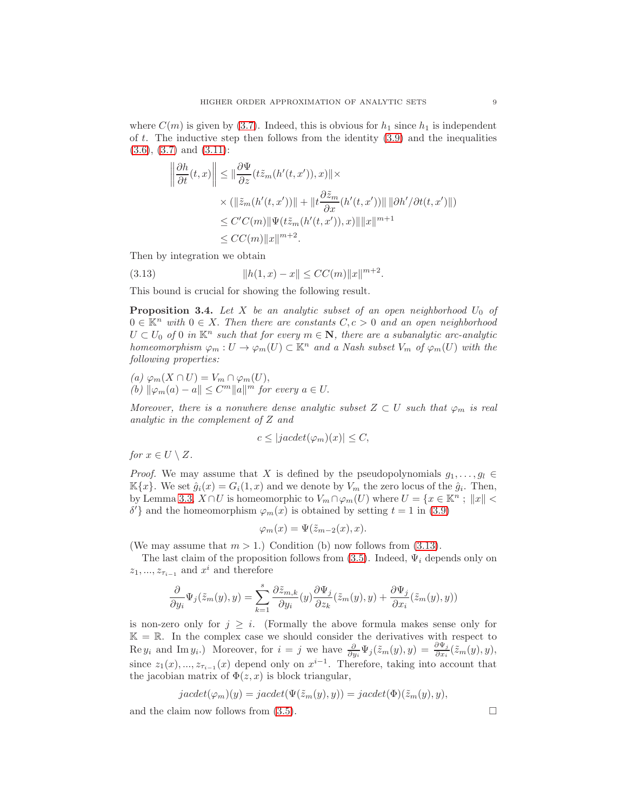where  $C(m)$  is given by [\(3.7\)](#page-6-0). Indeed, this is obvious for  $h_1$  since  $h_1$  is independent of t. The inductive step then follows from the identity  $(3.9)$  and the inequalities [\(3.6\)](#page-6-2), [\(3.7\)](#page-6-0) and [\(3.11\)](#page-7-2):

$$
\left\|\frac{\partial h}{\partial t}(t,x)\right\| \le \|\frac{\partial \Psi}{\partial z}(t\tilde{z}_m(h'(t,x')),x)\| \times
$$
  

$$
\times (\|\tilde{z}_m(h'(t,x'))\| + \|t\frac{\partial \tilde{z}_m}{\partial x}(h'(t,x'))\| \|\partial h'/\partial t(t,x')\|)
$$
  

$$
\le C'C(m)\|\Psi(t\tilde{z}_m(h'(t,x')),x)\|\|x\|^{m+1}
$$
  

$$
\le CC(m)\|x\|^{m+2}.
$$

Then by integration we obtain

<span id="page-8-1"></span>(3.13) 
$$
||h(1,x) - x|| \le CC(m)||x||^{m+2}.
$$

This bound is crucial for showing the following result.

<span id="page-8-0"></span>**Proposition 3.4.** Let X be an analytic subset of an open neighborhood  $U_0$  of  $0 \in \mathbb{K}^n$  with  $0 \in X$ . Then there are constants  $C, c > 0$  and an open neighborhood  $U \subset U_0$  of 0 in  $\mathbb{K}^n$  such that for every  $m \in \mathbb{N}$ , there are a subanalytic arc-analytic homeomorphism  $\varphi_m: U \to \varphi_m(U) \subset \mathbb{K}^n$  and a Nash subset  $V_m$  of  $\varphi_m(U)$  with the following properties:

(a) 
$$
\varphi_m(X \cap U) = V_m \cap \varphi_m(U)
$$
,  
(b)  $\|\varphi_m(a) - a\| \leq C^m \|a\|^m$  for every  $a \in U$ .

Moreover, there is a nonwhere dense analytic subset  $Z \subset U$  such that  $\varphi_m$  is real analytic in the complement of Z and

$$
c \le |jacdet(\varphi_m)(x)| \le C,
$$

for  $x \in U \setminus Z$ .

*Proof.* We may assume that X is defined by the pseudopolynomials  $g_1, \ldots, g_l \in$  $\mathbb{K}\{x\}$ . We set  $\hat{g}_i(x) = G_i(1, x)$  and we denote by  $V_m$  the zero locus of the  $\hat{g}_i$ . Then, by Lemma [3.3,](#page-7-3)  $X \cap U$  is homeomorphic to  $V_m \cap \varphi_m(U)$  where  $U = \{x \in \mathbb{K}^n : ||x|| < \varphi_m(U)\}$ δ'} and the homeomorphism  $\varphi_m(x)$  is obtained by setting  $t = 1$  in [\(3.9\)](#page-7-1)

$$
\varphi_m(x) = \Psi(\tilde{z}_{m-2}(x), x).
$$

(We may assume that  $m > 1$ .) Condition (b) now follows from [\(3.13\)](#page-8-1).

The last claim of the proposition follows from [\(3.5\)](#page-6-3). Indeed,  $\Psi_i$  depends only on  $z_1, ..., z_{\tau_{i-1}}$  and  $x^i$  and therefore

$$
\frac{\partial}{\partial y_i}\Psi_j(\tilde{z}_m(y),y)=\sum_{k=1}^s\frac{\partial \tilde{z}_{m,k}}{\partial y_i}(y)\frac{\partial \Psi_j}{\partial z_k}(\tilde{z}_m(y),y)+\frac{\partial \Psi_j}{\partial x_i}(\tilde{z}_m(y),y))
$$

is non-zero only for  $j \geq i$ . (Formally the above formula makes sense only for  $\mathbb{K} = \mathbb{R}$ . In the complex case we should consider the derivatives with respect to Re  $y_i$  and Im  $y_i$ .) Moreover, for  $i = j$  we have  $\frac{\partial}{\partial y_i} \Psi_j(\tilde{z}_m(y), y) = \frac{\partial \Psi_j}{\partial x_i}(\tilde{z}_m(y), y)$ , since  $z_1(x), \ldots, z_{\tau_{i-1}}(x)$  depend only on  $x^{i-1}$ . Therefore, taking into account that the jacobian matrix of  $\Phi(z, x)$  is block triangular,

$$
jacdet(\varphi_m)(y) = jacdet(\Psi(\tilde{z}_m(y), y)) = jacdet(\Phi)(\tilde{z}_m(y), y),
$$

and the claim now follows from  $(3.5)$ .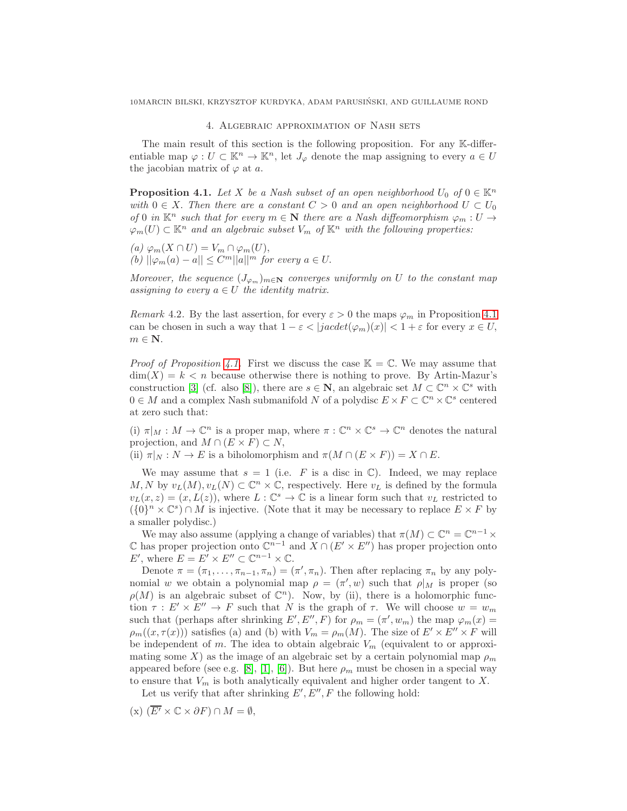#### 4. Algebraic approximation of Nash sets

<span id="page-9-1"></span>The main result of this section is the following proposition. For any K-differentiable map  $\varphi: U \subset \mathbb{K}^n \to \mathbb{K}^n$ , let  $J_{\varphi}$  denote the map assigning to every  $a \in U$ the jacobian matrix of  $\varphi$  at a.

<span id="page-9-0"></span>**Proposition 4.1.** Let X be a Nash subset of an open neighborhood  $U_0$  of  $0 \in \mathbb{K}^n$ with  $0 \in X$ . Then there are a constant  $C > 0$  and an open neighborhood  $U \subset U_0$ of 0 in  $\mathbb{K}^n$  such that for every  $m \in \mathbb{N}$  there are a Nash diffeomorphism  $\varphi_m : U \to$  $\varphi_m(U) \subset \mathbb{K}^n$  and an algebraic subset  $V_m$  of  $\mathbb{K}^n$  with the following properties:

(a) 
$$
\varphi_m(X \cap U) = V_m \cap \varphi_m(U)
$$
,  
(b)  $\|\varphi_m(a) - a\| \leq C^m \|\|a\|^m$  for every  $a \in U$ .

Moreover, the sequence  $(J_{\varphi_m})_{m\in\mathbb{N}}$  converges uniformly on U to the constant map assigning to every  $a \in U$  the identity matrix.

Remark 4.2. By the last assertion, for every  $\varepsilon > 0$  the maps  $\varphi_m$  in Proposition [4.1](#page-9-0) can be chosen in such a way that  $1 - \varepsilon < |jacdet(\varphi_m)(x)| < 1 + \varepsilon$  for every  $x \in U$ ,  $m \in \mathbf{N}$ .

*Proof of Proposition [4.1.](#page-9-0)* First we discuss the case  $\mathbb{K} = \mathbb{C}$ . We may assume that  $\dim(X) = k \leq n$  because otherwise there is nothing to prove. By Artin-Mazur's construction [\[3\]](#page-13-15) (cf. also [\[8\]](#page-13-2)), there are  $s \in \mathbb{N}$ , an algebraic set  $M \subset \mathbb{C}^n \times \mathbb{C}^s$  with  $0 \in M$  and a complex Nash submanifold N of a polydisc  $E \times F \subset \mathbb{C}^n \times \mathbb{C}^s$  centered at zero such that:

(i)  $\pi|_M : M \to \mathbb{C}^n$  is a proper map, where  $\pi : \mathbb{C}^n \times \mathbb{C}^s \to \mathbb{C}^n$  denotes the natural projection, and  $M \cap (E \times F) \subset N$ ,

(ii)  $\pi|_N : N \to E$  is a biholomorphism and  $\pi(M \cap (E \times F)) = X \cap E$ .

We may assume that  $s = 1$  (i.e. F is a disc in  $\mathbb{C}$ ). Indeed, we may replace  $M, N$  by  $v_L(M), v_L(N) \subset \mathbb{C}^n \times \mathbb{C}$ , respectively. Here  $v_L$  is defined by the formula  $v_L(x, z) = (x, L(z))$ , where  $L : \mathbb{C}^s \to \mathbb{C}$  is a linear form such that  $v_L$  restricted to  $({0}^n \times \mathbb{C}^s) \cap M$  is injective. (Note that it may be necessary to replace  $E \times F$  by a smaller polydisc.)

We may also assume (applying a change of variables) that  $\pi(M) \subset \mathbb{C}^n = \mathbb{C}^{n-1} \times$  $\mathbb C$  has proper projection onto  $\mathbb C^{n-1}$  and  $X \cap (E' \times E'')$  has proper projection onto E', where  $E = E' \times E'' \subset \mathbb{C}^{n-1} \times \mathbb{C}$ .

Denote  $\pi = (\pi_1, \ldots, \pi_{n-1}, \pi_n) = (\pi', \pi_n)$ . Then after replacing  $\pi_n$  by any polynomial w we obtain a polynomial map  $\rho = (\pi', w)$  such that  $\rho|_M$  is proper (so  $\rho(M)$  is an algebraic subset of  $\mathbb{C}^n$ ). Now, by (ii), there is a holomorphic function  $\tau : E' \times E'' \to F$  such that N is the graph of  $\tau$ . We will choose  $w = w_m$ such that (perhaps after shrinking E', E'', F) for  $\rho_m = (\pi', w_m)$  the map  $\varphi_m(x) =$  $\rho_m((x,\tau(x)))$  satisfies (a) and (b) with  $V_m = \rho_m(M)$ . The size of  $E' \times E'' \times F$  will be independent of m. The idea to obtain algebraic  $V_m$  (equivalent to or approximating some X) as the image of an algebraic set by a certain polynomial map  $\rho_m$ appeared before (see e.g. [\[8\]](#page-13-2), [\[1\]](#page-12-0), [\[6\]](#page-13-10)). But here  $\rho_m$  must be chosen in a special way to ensure that  $V_m$  is both analytically equivalent and higher order tangent to X.

Let us verify that after shrinking  $E', E'', F$  the following hold:

 $(\mathbf{x}) \ (\overline{E'} \times \mathbb{C} \times \partial F) \cap M = \emptyset,$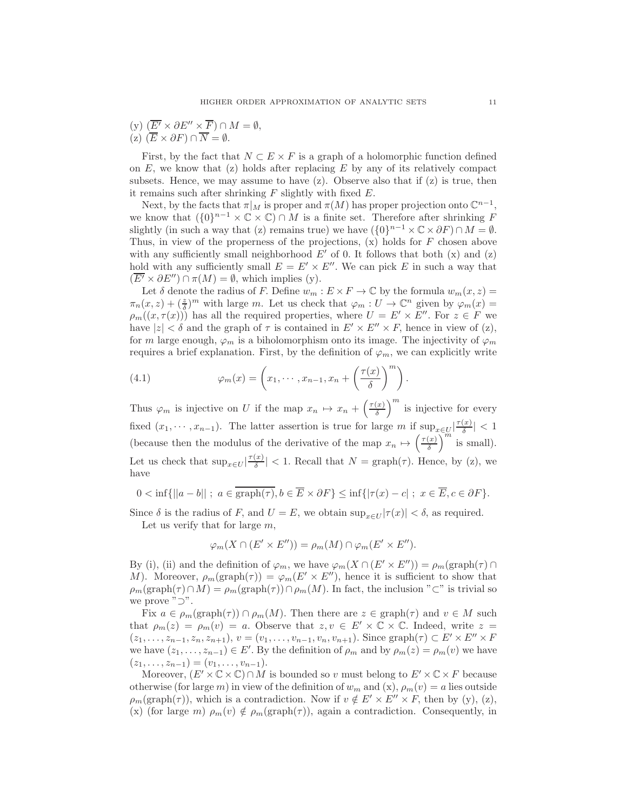(y)  $(\overline{E'} \times \partial E'' \times \overline{F}) \cap M = \emptyset$ ,  $(z)$   $(\overline{E} \times \partial F) \cap \overline{N} = \emptyset$ .

First, by the fact that  $N \subset E \times F$  is a graph of a holomorphic function defined on  $E$ , we know that (z) holds after replacing  $E$  by any of its relatively compact subsets. Hence, we may assume to have  $(z)$ . Observe also that if  $(z)$  is true, then it remains such after shrinking  $F$  slightly with fixed  $E$ .

Next, by the facts that  $\pi|_M$  is proper and  $\pi(M)$  has proper projection onto  $\mathbb{C}^{n-1}$ , we know that  $({0}^{n-1} \times \mathbb{C} \times \mathbb{C}) \cap M$  is a finite set. Therefore after shrinking F slightly (in such a way that (z) remains true) we have  $({0}^{n-1} \times \mathbb{C} \times \partial F) \cap M = \emptyset$ . Thus, in view of the properness of the projections,  $(x)$  holds for  $F$  chosen above with any sufficiently small neighborhood  $E'$  of 0. It follows that both  $(x)$  and  $(z)$ hold with any sufficiently small  $E = E' \times E''$ . We can pick E in such a way that  $(E' \times \partial E'') \cap \pi(M) = \emptyset$ , which implies (y).

Let  $\delta$  denote the radius of F. Define  $w_m : E \times F \to \mathbb{C}$  by the formula  $w_m(x, z) =$  $\pi_n(x,z) + (\frac{z}{\delta})^m$  with large m. Let us check that  $\varphi_m : U \to \mathbb{C}^n$  given by  $\varphi_m(x) =$  $\rho_m((x,\tau(x)))$  has all the required properties, where  $U = E' \times E''$ . For  $z \in F$  we have  $|z| < \delta$  and the graph of  $\tau$  is contained in  $E' \times E'' \times F$ , hence in view of (z), for m large enough,  $\varphi_m$  is a biholomorphism onto its image. The injectivity of  $\varphi_m$ requires a brief explanation. First, by the definition of  $\varphi_m$ , we can explicitly write

<span id="page-10-0"></span>(4.1) 
$$
\varphi_m(x) = \left(x_1, \cdots, x_{n-1}, x_n + \left(\frac{\tau(x)}{\delta}\right)^m\right).
$$

Thus  $\varphi_m$  is injective on U if the map  $x_n \mapsto x_n + \left(\frac{\tau(x)}{\delta}\right)$  $\left(\frac{x}{\delta}\right)^m$  is injective for every fixed  $(x_1, \dots, x_{n-1})$ . The latter assertion is true for large m if  $\sup_{x \in U} |\frac{\tau(x)}{\delta}|$  $\frac{f(x)}{\delta}$  |  $< 1$ (because then the modulus of the derivative of the map  $x_n \mapsto \left(\frac{\tau(x)}{\delta}\right)$  $\left(\frac{x}{\delta}\right)^m$  is small). Let us check that  $\sup_{x \in U} \left| \frac{\tau(x)}{\delta} \right|$  $\left|\frac{x}{\delta}\right|$  < 1. Recall that  $N = \text{graph}(\tau)$ . Hence, by (z), we have

$$
0 < \inf\{||a - b|| \; ; \; a \in \overline{\text{graph}(\tau)}, b \in \overline{E} \times \partial F\} \le \inf\{|\tau(x) - c| \; ; \; x \in \overline{E}, c \in \partial F\}.
$$

Since  $\delta$  is the radius of F, and  $U = E$ , we obtain  $\sup_{x \in U} |\tau(x)| < \delta$ , as required. Let us verify that for large  $m$ ,

$$
\varphi_m(X \cap (E' \times E'')) = \rho_m(M) \cap \varphi_m(E' \times E'').
$$

By (i), (ii) and the definition of  $\varphi_m$ , we have  $\varphi_m(X \cap (E' \times E'')) = \rho_m(\text{graph}(\tau) \cap$ M). Moreover,  $\rho_m(\text{graph}(\tau)) = \varphi_m(E' \times E'')$ , hence it is sufficient to show that  $\rho_m(\text{graph}(\tau)\cap M) = \rho_m(\text{graph}(\tau))\cap \rho_m(M)$ . In fact, the inclusion "⊂" is trivial so we prove "⊃".

Fix  $a \in \rho_m(\text{graph}(\tau)) \cap \rho_m(M)$ . Then there are  $z \in \text{graph}(\tau)$  and  $v \in M$  such that  $\rho_m(z) = \rho_m(v) = a$ . Observe that  $z, v \in E' \times \mathbb{C} \times \mathbb{C}$ . Indeed, write  $z =$  $(z_1, \ldots, z_{n-1}, z_n, z_{n+1}), v = (v_1, \ldots, v_{n-1}, v_n, v_{n+1}).$  Since  $graph(\tau) \subset E' \times E'' \times F$ we have  $(z_1, \ldots, z_{n-1}) \in E'$ . By the definition of  $\rho_m$  and by  $\rho_m(z) = \rho_m(v)$  we have  $(z_1, \ldots, z_{n-1}) = (v_1, \ldots, v_{n-1}).$ 

Moreover,  $(E' \times \mathbb{C} \times \mathbb{C}) \cap M$  is bounded so v must belong to  $E' \times \mathbb{C} \times F$  because otherwise (for large m) in view of the definition of  $w_m$  and  $(x)$ ,  $\rho_m(v) = a$  lies outside  $\rho_m(\text{graph}(\tau))$ , which is a contradiction. Now if  $v \notin E' \times E'' \times F$ , then by (y), (z), (x) (for large m)  $\rho_m(v) \notin \rho_m(\text{graph}(\tau))$ , again a contradiction. Consequently, in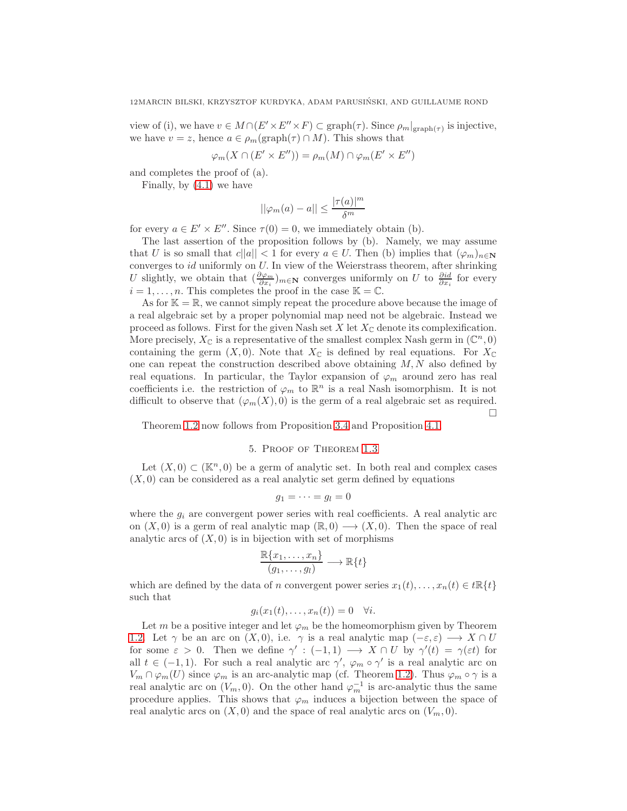view of (i), we have  $v \in M \cap (E' \times E'' \times F) \subset \text{graph}(\tau)$ . Since  $\rho_m|_{\text{graph}(\tau)}$  is injective, we have  $v = z$ , hence  $a \in \rho_m(\text{graph}(\tau) \cap M)$ . This shows that

$$
\varphi_m(X \cap (E' \times E'')) = \rho_m(M) \cap \varphi_m(E' \times E'')
$$

and completes the proof of (a).

Finally, by [\(4.1\)](#page-10-0) we have

$$
||\varphi_m(a) - a|| \le \frac{|\tau(a)|^m}{\delta^m}
$$

for every  $a \in E' \times E''$ . Since  $\tau(0) = 0$ , we immediately obtain (b).

The last assertion of the proposition follows by (b). Namely, we may assume that U is so small that  $c||a|| < 1$  for every  $a \in U$ . Then (b) implies that  $(\varphi_m)_{n \in \mathbb{N}}$ converges to  $id$  uniformly on  $U$ . In view of the Weierstrass theorem, after shrinking U slightly, we obtain that  $(\frac{\partial \varphi_m}{\partial x_i})_{m\in\mathbb{N}}$  converges uniformly on U to  $\frac{\partial id}{\partial x_i}$  for every  $i = 1, \ldots, n$ . This completes the proof in the case  $\mathbb{K} = \mathbb{C}$ .

As for  $K = \mathbb{R}$ , we cannot simply repeat the procedure above because the image of a real algebraic set by a proper polynomial map need not be algebraic. Instead we proceed as follows. First for the given Nash set  $X$  let  $X_{\mathbb{C}}$  denote its complexification. More precisely,  $X_{\mathbb{C}}$  is a representative of the smallest complex Nash germ in  $(\mathbb{C}^n, 0)$ containing the germ  $(X, 0)$ . Note that  $X_{\mathbb{C}}$  is defined by real equations. For  $X_{\mathbb{C}}$ one can repeat the construction described above obtaining  $M, N$  also defined by real equations. In particular, the Taylor expansion of  $\varphi_m$  around zero has real coefficients i.e. the restriction of  $\varphi_m$  to  $\mathbb{R}^n$  is a real Nash isomorphism. It is not difficult to observe that  $(\varphi_m(X), 0)$  is the germ of a real algebraic set as required. П

<span id="page-11-0"></span>Theorem [1.2](#page-0-0) now follows from Proposition [3.4](#page-8-0) and Proposition [4.1.](#page-9-0)

### 5. Proof of Theorem [1.3](#page-1-0)

Let  $(X, 0) \subset (\mathbb{K}^n, 0)$  be a germ of analytic set. In both real and complex cases  $(X, 0)$  can be considered as a real analytic set germ defined by equations

$$
g_1=\cdots=g_l=0
$$

where the  $g_i$  are convergent power series with real coefficients. A real analytic arc on  $(X, 0)$  is a germ of real analytic map  $(\mathbb{R}, 0) \longrightarrow (X, 0)$ . Then the space of real analytic arcs of  $(X, 0)$  is in bijection with set of morphisms

$$
\frac{\mathbb{R}\{x_1,\ldots,x_n\}}{(g_1,\ldots,g_l)} \longrightarrow \mathbb{R}\{t\}
$$

which are defined by the data of n convergent power series  $x_1(t), \ldots, x_n(t) \in t\mathbb{R}{t}$ such that

$$
g_i(x_1(t),\ldots,x_n(t))=0 \quad \forall i.
$$

Let m be a positive integer and let  $\varphi_m$  be the homeomorphism given by Theorem [1.2.](#page-0-0) Let  $\gamma$  be an arc on  $(X, 0)$ , i.e.  $\gamma$  is a real analytic map  $(-\varepsilon, \varepsilon) \longrightarrow X \cap U$ for some  $\varepsilon > 0$ . Then we define  $\gamma' : (-1,1) \longrightarrow X \cap U$  by  $\gamma'(t) = \gamma(\varepsilon t)$  for all  $t \in (-1,1)$ . For such a real analytic arc  $\gamma'$ ,  $\varphi_m \circ \gamma'$  is a real analytic arc on  $V_m \cap \varphi_m(U)$  since  $\varphi_m$  is an arc-analytic map (cf. Theorem [1.2\)](#page-0-0). Thus  $\varphi_m \circ \gamma$  is a real analytic arc on  $(V_m, 0)$ . On the other hand  $\varphi_m^{-1}$  is arc-analytic thus the same procedure applies. This shows that  $\varphi_m$  induces a bijection between the space of real analytic arcs on  $(X, 0)$  and the space of real analytic arcs on  $(V_m, 0)$ .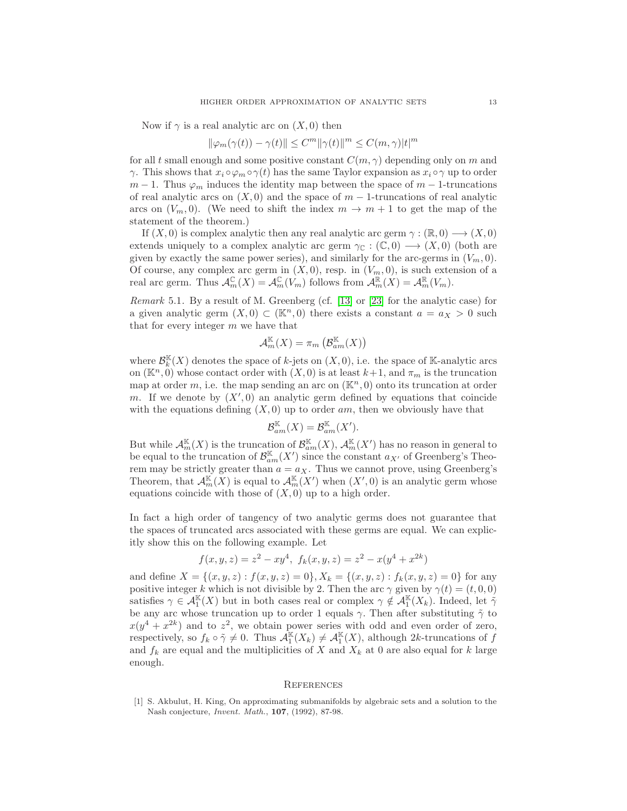Now if  $\gamma$  is a real analytic arc on  $(X, 0)$  then

$$
\|\varphi_m(\gamma(t)) - \gamma(t)\| \le C^m \|\gamma(t)\|^m \le C(m,\gamma)|t|^m
$$

for all t small enough and some positive constant  $C(m, \gamma)$  depending only on m and  $\gamma$ . This shows that  $x_i \circ \varphi_m \circ \gamma(t)$  has the same Taylor expansion as  $x_i \circ \gamma$  up to order  $m-1$ . Thus  $\varphi_m$  induces the identity map between the space of  $m-1$ -truncations of real analytic arcs on  $(X, 0)$  and the space of  $m - 1$ -truncations of real analytic arcs on  $(V_m, 0)$ . (We need to shift the index  $m \to m + 1$  to get the map of the statement of the theorem.)

If  $(X, 0)$  is complex analytic then any real analytic arc germ  $\gamma : (\mathbb{R}, 0) \longrightarrow (X, 0)$ extends uniquely to a complex analytic arc germ  $\gamma_{\mathbb{C}} : (\mathbb{C}, 0) \longrightarrow (X, 0)$  (both are given by exactly the same power series), and similarly for the arc-germs in  $(V_m, 0)$ . Of course, any complex arc germ in  $(X, 0)$ , resp. in  $(V_m, 0)$ , is such extension of a real arc germ. Thus  $\mathcal{A}_m^{\mathbb{C}}(X) = \mathcal{A}_m^{\mathbb{C}}(V_m)$  follows from  $\mathcal{A}_m^{\mathbb{R}}(X) = \mathcal{A}_m^{\mathbb{R}}(V_m)$ .

Remark 5.1. By a result of M. Greenberg (cf. [\[13\]](#page-13-27) or [\[23\]](#page-13-28) for the analytic case) for a given analytic germ  $(X, 0) \subset (\mathbb{K}^n, 0)$  there exists a constant  $a = a_X > 0$  such that for every integer  $m$  we have that

$$
\mathcal{A}_m^{\mathbb{K}}(X)=\pi_m\left(\mathcal{B}_{am}^{\mathbb{K}}(X)\right)
$$

where  $\mathcal{B}_k^{\mathbb{K}}(X)$  denotes the space of k-jets on  $(X,0)$ , i.e. the space of K-analytic arcs on  $(\mathbb{K}^n, 0)$  whose contact order with  $(X, 0)$  is at least  $k+1$ , and  $\pi_m$  is the truncation map at order m, i.e. the map sending an arc on  $(\mathbb{K}^n, 0)$  onto its truncation at order m. If we denote by  $(X', 0)$  an analytic germ defined by equations that coincide with the equations defining  $(X, 0)$  up to order am, then we obviously have that

$$
\mathcal{B}_{am}^{\mathbb{K}}(X)=\mathcal{B}_{am}^{\mathbb{K}}(X').
$$

But while  $\mathcal{A}_m^{\mathbb{K}}(X)$  is the truncation of  $\mathcal{B}_{am}^{\mathbb{K}}(X)$ ,  $\mathcal{A}_m^{\mathbb{K}}(X')$  has no reason in general to be equal to the truncation of  $\mathcal{B}_{am}^{\mathbb{K}}(X')$  since the constant  $a_{X'}$  of Greenberg's Theorem may be strictly greater than  $a = a_X$ . Thus we cannot prove, using Greenberg's Theorem, that  $\mathcal{A}_m^{\mathbb{K}}(X)$  is equal to  $\mathcal{A}_m^{\mathbb{K}}(X')$  when  $(X',0)$  is an analytic germ whose equations coincide with those of  $(X, 0)$  up to a high order.

In fact a high order of tangency of two analytic germs does not guarantee that the spaces of truncated arcs associated with these germs are equal. We can explicitly show this on the following example. Let

$$
f(x, y, z) = z2 - xy4, fk(x, y, z) = z2 - x(y4 + x2k)
$$

and define  $X = \{(x, y, z) : f(x, y, z) = 0\}$ ,  $X_k = \{(x, y, z) : f_k(x, y, z) = 0\}$  for any positive integer k which is not divisible by 2. Then the arc  $\gamma$  given by  $\gamma(t) = (t, 0, 0)$ satisfies  $\gamma \in \mathcal{A}_1^{\mathbb{K}}(X)$  but in both cases real or complex  $\gamma \notin \mathcal{A}_1^{\mathbb{K}}(X_k)$ . Indeed, let  $\tilde{\gamma}$ be any arc whose truncation up to order 1 equals  $\gamma$ . Then after substituting  $\tilde{\gamma}$  to  $x(y^4 + x^{2k})$  and to  $z^2$ , we obtain power series with odd and even order of zero, respectively, so  $f_k \circ \tilde{\gamma} \neq 0$ . Thus  $\mathcal{A}_1^{\mathbb{K}}(X_k) \neq \mathcal{A}_1^{\mathbb{K}}(X)$ , although 2k-truncations of  $f$ and  $f_k$  are equal and the multiplicities of X and  $X_k$  at 0 are also equal for k large enough.

#### **REFERENCES**

<span id="page-12-0"></span>[1] S. Akbulut, H. King, On approximating submanifolds by algebraic sets and a solution to the Nash conjecture, Invent. Math., 107, (1992), 87-98.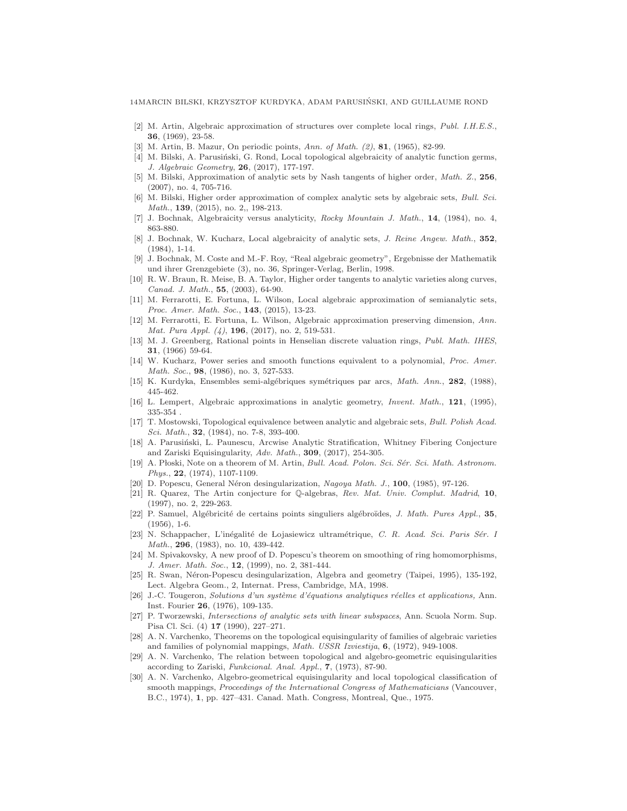- <span id="page-13-15"></span><span id="page-13-0"></span>[2] M. Artin, Algebraic approximation of structures over complete local rings, Publ. I.H.E.S., 36, (1969), 23-58.
- <span id="page-13-1"></span>[3] M. Artin, B. Mazur, On periodic points, Ann. of Math. (2), 81, (1965), 82-99.
- <span id="page-13-9"></span>[4] M. Bilski, A. Parusiński, G. Rond, Local topological algebraicity of analytic function germs, J. Algebraic Geometry, 26, (2017), 177-197.
- <span id="page-13-10"></span>[5] M. Bilski, Approximation of analytic sets by Nash tangents of higher order, Math. Z., 256, (2007), no. 4, 705-716.
- [6] M. Bilski, Higher order approximation of complex analytic sets by algebraic sets, Bull. Sci. Math., **139**, (2015), no. 2,, 198-213.
- <span id="page-13-3"></span><span id="page-13-2"></span>[7] J. Bochnak, Algebraicity versus analyticity, Rocky Mountain J. Math., 14, (1984), no. 4, 863-880.
- [8] J. Bochnak, W. Kucharz, Local algebraicity of analytic sets, J. Reine Angew. Math., 352, (1984), 1-14.
- <span id="page-13-16"></span>[9] J. Bochnak, M. Coste and M.-F. Roy, "Real algebraic geometry", Ergebnisse der Mathematik und ihrer Grenzgebiete (3), no. 36, Springer-Verlag, Berlin, 1998.
- <span id="page-13-11"></span>[10] R. W. Braun, R. Meise, B. A. Taylor, Higher order tangents to analytic varieties along curves, Canad. J. Math., 55, (2003), 64-90.
- <span id="page-13-13"></span>[11] M. Ferrarotti, E. Fortuna, L. Wilson, Local algebraic approximation of semianalytic sets, Proc. Amer. Math. Soc., 143, (2015), 13-23.
- <span id="page-13-12"></span>[12] M. Ferrarotti, E. Fortuna, L. Wilson, Algebraic approximation preserving dimension, Ann. Mat. Pura Appl. (4), 196, (2017), no. 2, 519-531.
- <span id="page-13-27"></span>[13] M. J. Greenberg, Rational points in Henselian discrete valuation rings, Publ. Math. IHES, 31, (1966) 59-64.
- <span id="page-13-4"></span>[14] W. Kucharz, Power series and smooth functions equivalent to a polynomial, Proc. Amer. Math. Soc., 98, (1986), no. 3, 527-533.
- <span id="page-13-23"></span><span id="page-13-5"></span>[15] K. Kurdyka, Ensembles semi-algébriques symétriques par arcs, Math. Ann., 282, (1988), 445-462.
- <span id="page-13-6"></span>[16] L. Lempert, Algebraic approximations in analytic geometry, Invent. Math., 121, (1995), 335-354 .
- [17] T. Mostowski, Topological equivalence between analytic and algebraic sets, Bull. Polish Acad. Sci. Math., **32**, (1984), no. 7-8, 393-400.
- <span id="page-13-14"></span>[18] A. Parusiński, L. Paunescu, Arcwise Analytic Stratification, Whitney Fibering Conjecture and Zariski Equisingularity, Adv. Math., 309, (2017), 254-305.
- <span id="page-13-18"></span>[19] A. Płoski, Note on a theorem of M. Artin, Bull. Acad. Polon. Sci. Sér. Sci. Math. Astronom. Phys., 22, (1974), 1107-1109.
- <span id="page-13-22"></span><span id="page-13-20"></span>[20] D. Popescu, General Néron desingularization, Nagoya Math. J., 100, (1985), 97-126.
- [21] R. Quarez, The Artin conjecture for Q-algebras, Rev. Mat. Univ. Complut. Madrid, 10, (1997), no. 2, 229-263.
- <span id="page-13-7"></span>[22] P. Samuel, Alg´ebricit´e de certains points singuliers alg´ebro¨ıdes, J. Math. Pures Appl., 35, (1956), 1-6.
- <span id="page-13-28"></span>[23] N. Schappacher, L'inégalité de Lojasiewicz ultramétrique, C. R. Acad. Sci. Paris Sér. I Math., 296, (1983), no. 10, 439-442.
- <span id="page-13-19"></span>[24] M. Spivakovsky, A new proof of D. Popescu's theorem on smoothing of ring homomorphisms, J. Amer. Math. Soc., 12, (1999), no. 2, 381-444.
- <span id="page-13-21"></span>[25] R. Swan, Néron-Popescu desingularization, Algebra and geometry (Taipei, 1995), 135-192, Lect. Algebra Geom., 2, Internat. Press, Cambridge, MA, 1998.
- <span id="page-13-8"></span>[26] J.-C. Tougeron, Solutions d'un système d'équations analytiques réelles et applications, Ann. Inst. Fourier 26, (1976), 109-135.
- <span id="page-13-17"></span>[27] P. Tworzewski, Intersections of analytic sets with linear subspaces, Ann. Scuola Norm. Sup. Pisa Cl. Sci. (4) 17 (1990), 227–271.
- <span id="page-13-24"></span>[28] A. N. Varchenko, Theorems on the topological equisingularity of families of algebraic varieties and families of polynomial mappings, Math. USSR Izviestija, 6, (1972), 949-1008.
- <span id="page-13-25"></span>[29] A. N. Varchenko, The relation between topological and algebro-geometric equisingularities according to Zariski, Funkcional. Anal. Appl., 7, (1973), 87-90.
- <span id="page-13-26"></span>[30] A. N. Varchenko, Algebro-geometrical equisingularity and local topological classification of smooth mappings, Proceedings of the International Congress of Mathematicians (Vancouver, B.C., 1974), 1, pp. 427–431. Canad. Math. Congress, Montreal, Que., 1975.